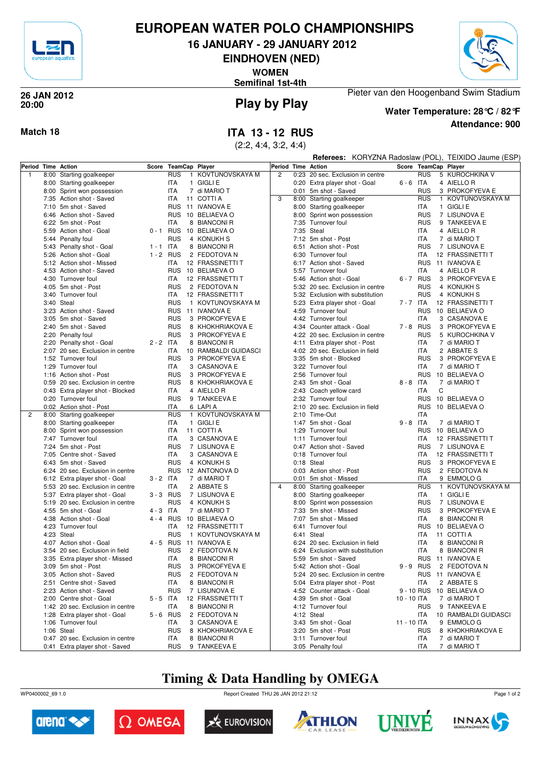

### **EUROPEAN WATER POLO CHAMPIONSHIPS**

**16 JANUARY - 29 JANUARY 2012**

**EINDHOVEN (NED)**

**WOMEN**

**Semifinal 1st-4th**



# **20:00**

# **Play by Play 26 JAN 2012**

**Attendance: 900 Water Temperature: 28°C / 82°F**

Pieter van den Hoogenband Swim Stadium

**Match 18 ITA 13 - 12 RUS**

(2:2, 4:4, 3:2, 4:4)

|              |      |                                                |             |                      |   |                                       |                |      |                                                     |  | Referees: KORYZNA Radoslaw (POL), TEIXIDO Jaume (ESP) |                          |   |                                   |  |  |
|--------------|------|------------------------------------------------|-------------|----------------------|---|---------------------------------------|----------------|------|-----------------------------------------------------|--|-------------------------------------------------------|--------------------------|---|-----------------------------------|--|--|
|              |      | Period Time Action                             |             | Score TeamCap Player |   |                                       | Period         |      | <b>Time Action</b>                                  |  | Score TeamCap Player                                  |                          |   |                                   |  |  |
| $\mathbf{1}$ | 8:00 | Starting goalkeeper                            |             | <b>RUS</b>           |   | 1 KOVTUNOVSKAYA M                     | $\overline{2}$ |      | 0:23 20 sec. Exclusion in centre                    |  |                                                       | <b>RUS</b>               |   | 5 KUROCHKINA V                    |  |  |
|              |      | 8:00 Starting goalkeeper                       |             | ITA                  |   | 1 GIGLI E                             |                |      | 0:20 Extra player shot - Goal                       |  | $6 - 6$ ITA                                           |                          |   | 4 AIELLO R                        |  |  |
|              |      | 8:00 Sprint won possession                     |             | <b>ITA</b>           |   | 7 di MARIO T                          |                |      | 0:01 5m shot - Saved                                |  |                                                       | <b>RUS</b>               |   | 3 PROKOFYEVA E                    |  |  |
|              |      | 7:35 Action shot - Saved                       |             | <b>ITA</b>           |   | 11 COTTI A                            | 3              |      | 8:00 Starting goalkeeper                            |  |                                                       | <b>RUS</b>               |   | 1 KOVTUNOVSKAYA M                 |  |  |
|              |      | 7:10 5m shot - Saved                           |             |                      |   | RUS 11 IVANOVA E                      |                |      | 8:00 Starting goalkeeper                            |  |                                                       | ITA                      |   | 1 GIGLI E                         |  |  |
|              |      | 6:46 Action shot - Saved                       |             |                      |   | RUS 10 BELIAEVA O                     |                |      | 8:00 Sprint won possession                          |  |                                                       | <b>RUS</b>               |   | 7 LISUNOVA E                      |  |  |
|              |      | 6:22 5m shot - Post                            |             | ITA                  |   | 8 BIANCONI R                          |                |      | 7:35 Turnover foul                                  |  |                                                       | <b>RUS</b>               |   | 9 TANKEEVA E                      |  |  |
|              |      | 5:59 Action shot - Goal                        |             |                      |   | 0 - 1 RUS 10 BELIAEVA O               |                |      | 7:35 Steal                                          |  |                                                       | ITA                      |   | 4 AIELLO R                        |  |  |
|              |      | 5:44 Penalty foul                              |             | <b>RUS</b>           |   | 4 KONUKH S                            |                |      | 7:12 5m shot - Post                                 |  |                                                       | ITA                      |   | 7 di MARIO T                      |  |  |
|              |      | 5:43 Penalty shot - Goal                       | $1 - 1$ ITA |                      |   | 8 BIANCONI R                          |                |      | 6:51 Action shot - Post                             |  |                                                       | <b>RUS</b>               |   | 7 LISUNOVA E                      |  |  |
|              |      | 5:26 Action shot - Goal                        | $1 - 2$ RUS |                      |   | 2 FEDOTOVA N                          |                |      | 6:30 Turnover foul                                  |  |                                                       | <b>ITA</b>               |   | 12 FRASSINETTI T                  |  |  |
|              |      | 5:12 Action shot - Missed                      |             | ITA                  |   | 12 FRASSINETTI T                      |                |      | 6:17 Action shot - Saved                            |  |                                                       | <b>RUS</b>               |   | 11 IVANOVA E                      |  |  |
|              |      | 4:53 Action shot - Saved                       |             |                      |   | RUS 10 BELIAEVA O                     |                |      | 5:57 Turnover foul                                  |  |                                                       | <b>ITA</b>               |   | 4 AIELLO R                        |  |  |
|              |      | 4:30 Turnover foul                             |             | ITA                  |   | 12 FRASSINETTI T                      |                |      | 5:46 Action shot - Goal                             |  | 6-7 RUS                                               |                          |   | 3 PROKOFYEVA E                    |  |  |
|              |      | 4:05 5m shot - Post                            |             | <b>RUS</b><br>ITA    |   | 2 FEDOTOVA N                          |                |      | 5:32 20 sec. Exclusion in centre                    |  |                                                       | <b>RUS</b><br><b>RUS</b> |   | 4 KONUKH S                        |  |  |
|              |      | 3:40 Turnover foul<br>3:40 Steal               |             | <b>RUS</b>           |   | 12 FRASSINETTI T                      |                |      | 5:32 Exclusion with substitution                    |  | 7 - 7 ITA                                             |                          |   | 4 KONUKH S                        |  |  |
|              |      | 3:23 Action shot - Saved                       |             |                      |   | 1 KOVTUNOVSKAYA M<br>RUS 11 IVANOVA E |                |      | 5:23 Extra player shot - Goal<br>4:59 Turnover foul |  |                                                       | <b>RUS</b>               |   | 12 FRASSINETTI T<br>10 BELIAEVA O |  |  |
|              |      | 3:05 5m shot - Saved                           |             | <b>RUS</b>           |   | 3 PROKOFYEVA E                        |                |      | 4:42 Turnover foul                                  |  |                                                       | <b>ITA</b>               |   | 3 CASANOVA E                      |  |  |
|              |      | 2:40 5m shot - Saved                           |             | <b>RUS</b>           |   | 8 KHOKHRIAKOVA E                      |                |      | 4:34 Counter attack - Goal                          |  | 7-8 RUS                                               |                          |   | 3 PROKOFYEVA E                    |  |  |
|              |      | 2:20 Penalty foul                              |             | <b>RUS</b>           |   | 3 PROKOFYEVA E                        |                |      | 4:22 20 sec. Exclusion in centre                    |  |                                                       | <b>RUS</b>               |   | 5 KUROCHKINA V                    |  |  |
|              |      | 2:20 Penalty shot - Goal                       | $2 - 2$ ITA |                      |   | 8 BIANCONI R                          |                |      | 4:11 Extra player shot - Post                       |  |                                                       | ITA                      |   | 7 di MARIO T                      |  |  |
|              |      | 2:07 20 sec. Exclusion in centre               |             | ITA                  |   | 10 RAMBALDI GUIDASCI                  |                |      | 4:02 20 sec. Exclusion in field                     |  |                                                       | ITA                      |   | 2 ABBATE S                        |  |  |
|              |      | 1:52 Turnover foul                             |             | <b>RUS</b>           |   | 3 PROKOFYEVA E                        |                |      | 3:35 5m shot - Blocked                              |  |                                                       | <b>RUS</b>               |   | 3 PROKOFYEVA E                    |  |  |
|              |      | 1:29 Turnover foul                             |             | ITA                  |   | 3 CASANOVA E                          |                |      | 3:22 Turnover foul                                  |  |                                                       | <b>ITA</b>               |   | 7 di MARIO T                      |  |  |
|              |      | 1:16 Action shot - Post                        |             | <b>RUS</b>           | 3 | PROKOFYEVA E                          |                |      | 2:56 Turnover foul                                  |  |                                                       | <b>RUS</b>               |   | 10 BELIAEVA O                     |  |  |
|              |      | 0:59 20 sec. Exclusion in centre               |             | <b>RUS</b>           |   | 8 KHOKHRIAKOVA E                      |                |      | 2:43 5m shot - Goal                                 |  | $8 - 8$ ITA                                           |                          |   | 7 di MARIO T                      |  |  |
|              |      | 0:43 Extra player shot - Blocked               |             | ITA                  |   | 4 AIELLO R                            |                |      | 2:43 Coach yellow card                              |  |                                                       | <b>ITA</b>               | C |                                   |  |  |
|              |      | 0:20 Turnover foul                             |             | <b>RUS</b>           |   | 9 TANKEEVA E                          |                |      | 2:32 Turnover foul                                  |  |                                                       | <b>RUS</b>               |   | 10 BELIAEVA O                     |  |  |
|              |      | 0:02 Action shot - Post                        |             | ITA                  |   | 6 LAPIA                               |                | 2:10 | 20 sec. Exclusion in field                          |  |                                                       | <b>RUS</b>               |   | 10 BELIAEVA O                     |  |  |
| 2            | 8:00 | Starting goalkeeper                            |             | <b>RUS</b>           |   | 1 KOVTUNOVSKAYA M                     |                |      | 2:10 Time-Out                                       |  |                                                       | ITA                      |   |                                   |  |  |
|              |      | 8:00 Starting goalkeeper                       |             | <b>ITA</b>           |   | 1 GIGLI E                             |                | 1:47 | 5m shot - Goal                                      |  | $9 - 8$ ITA                                           |                          |   | 7 di MARIO T                      |  |  |
|              |      | 8:00 Sprint won possession                     |             | ITA                  |   | 11 COTTI A                            |                |      | 1:29 Turnover foul                                  |  |                                                       | <b>RUS</b>               |   | 10 BELIAEVA O                     |  |  |
|              |      | 7:47 Turnover foul                             |             | ITA                  |   | 3 CASANOVA E                          |                |      | 1:11 Turnover foul                                  |  |                                                       | ITA                      |   | 12 FRASSINETTI T                  |  |  |
|              |      | 7:24 5m shot - Post                            |             | <b>RUS</b>           |   | 7 LISUNOVA E                          |                |      | 0:47 Action shot - Saved                            |  |                                                       | <b>RUS</b>               |   | 7 LISUNOVA E                      |  |  |
|              |      | 7:05 Centre shot - Saved                       |             | ITA                  |   | 3 CASANOVA E                          |                |      | 0:18 Turnover foul                                  |  |                                                       | ITA                      |   | 12 FRASSINETTI T                  |  |  |
|              |      | 6:43 5m shot - Saved                           |             | <b>RUS</b>           |   | 4 KONUKH S                            |                |      | 0:18 Steal                                          |  |                                                       | <b>RUS</b>               |   | 3 PROKOFYEVA E                    |  |  |
|              |      | 6:24 20 sec. Exclusion in centre               |             |                      |   | RUS 12 ANTONOVA D                     |                |      | 0:03 Action shot - Post                             |  |                                                       | <b>RUS</b>               |   | 2 FEDOTOVA N                      |  |  |
|              |      | 6:12 Extra player shot - Goal                  | $3 - 2$ ITA |                      |   | 7 di MARIO T                          |                |      | 0:01 5m shot - Missed                               |  |                                                       | <b>ITA</b>               |   | 9 EMMOLO G                        |  |  |
|              |      | 5:53 20 sec. Exclusion in centre               |             | ITA                  |   | 2 ABBATE S                            | $\overline{4}$ |      | 8:00 Starting goalkeeper                            |  |                                                       | <b>RUS</b>               |   | 1 KOVTUNOVSKAYA M                 |  |  |
|              |      | 5:37 Extra player shot - Goal                  | $3 - 3$ RUS |                      |   | 7 LISUNOVA E                          |                |      | 8:00 Starting goalkeeper                            |  |                                                       | <b>ITA</b>               |   | 1 GIGLI E                         |  |  |
|              |      | 5:19 20 sec. Exclusion in centre               |             | <b>RUS</b><br>ITA    |   | 4 KONUKH S<br>7 di MARIO T            |                |      | 8:00 Sprint won possession<br>7:33 5m shot - Missed |  |                                                       | <b>RUS</b><br><b>RUS</b> |   | 7 LISUNOVA E<br>3 PROKOFYEVA E    |  |  |
|              |      | 4:55 5m shot - Goal<br>4:38 Action shot - Goal | 4 - 3       |                      |   | 4 - 4 RUS 10 BELIAEVA O               |                |      | 7:07 5m shot - Missed                               |  |                                                       | ITA                      |   | 8 BIANCONI R                      |  |  |
|              |      | 4:23 Turnover foul                             |             | ITA                  |   | 12 FRASSINETTI T                      |                |      | 6:41 Turnover foul                                  |  |                                                       | RUS                      |   | 10 BELIAEVA O                     |  |  |
|              |      | 4:23 Steal                                     |             | <b>RUS</b>           |   | 1 KOVTUNOVSKAYA M                     |                |      | 6:41 Steal                                          |  |                                                       | <b>ITA</b>               |   | 11 COTTI A                        |  |  |
|              |      | 4:07 Action shot - Goal                        | 4 - 5 RUS   |                      |   | 11 IVANOVA E                          |                |      | 6:24 20 sec. Exclusion in field                     |  |                                                       | <b>ITA</b>               |   | 8 BIANCONI R                      |  |  |
|              |      | 3:54 20 sec. Exclusion in field                |             | <b>RUS</b>           |   | 2 FEDOTOVA N                          |                |      | 6:24 Exclusion with substitution                    |  |                                                       | ITA                      |   | 8 BIANCONI R                      |  |  |
|              |      | 3:35 Extra player shot - Missed                |             | <b>ITA</b>           |   | 8 BIANCONI R                          |                |      | 5:59 5m shot - Saved                                |  |                                                       |                          |   | RUS 11 IVANOVA E                  |  |  |
|              |      | 3:09 5m shot - Post                            |             | RUS                  |   | 3 PROKOFYEVA E                        |                |      | 5:42 Action shot - Goal                             |  | 9-9 RUS                                               |                          |   | 2 FEDOTOVA N                      |  |  |
|              |      | 3:05 Action shot - Saved                       |             | RUS                  |   | 2 FEDOTOVA N                          |                |      | 5:24 20 sec. Exclusion in centre                    |  |                                                       |                          |   | RUS 11 IVANOVA E                  |  |  |
|              |      | 2:51 Centre shot - Saved                       |             | ITA                  |   | 8 BIANCONI R                          |                |      | 5:04 Extra player shot - Post                       |  |                                                       | <b>ITA</b>               |   | 2 ABBATE S                        |  |  |
|              |      | 2:23 Action shot - Saved                       |             | <b>RUS</b>           |   | 7 LISUNOVA E                          |                |      | 4:52 Counter attack - Goal                          |  |                                                       | 9 - 10 RUS               |   | 10 BELIAEVA O                     |  |  |
|              |      | 2:00 Centre shot - Goal                        | $5 - 5$ ITA |                      |   | 12 FRASSINETTI T                      |                |      | 4:39 5m shot - Goal                                 |  | 10 - 10 ITA                                           |                          |   | 7 di MARIO T                      |  |  |
|              |      | 1:42 20 sec. Exclusion in centre               |             | ITA                  |   | 8 BIANCONI R                          |                |      | 4:12 Turnover foul                                  |  |                                                       | <b>RUS</b>               |   | 9 TANKEEVA E                      |  |  |
|              |      | 1:28 Extra player shot - Goal                  | $5 - 6$ RUS |                      |   | 2 FEDOTOVA N                          |                |      | 4:12 Steal                                          |  |                                                       | ITA                      |   | 10 RAMBALDI GUIDASCI              |  |  |
|              |      | 1:06 Turnover foul                             |             | ITA                  |   | 3 CASANOVA E                          |                |      | 3:43 5m shot - Goal                                 |  | 11 - 10 ITA                                           |                          |   | 9 EMMOLO G                        |  |  |
|              |      | 1:06 Steal                                     |             | <b>RUS</b>           |   | 8 KHOKHRIAKOVA E                      |                |      | 3:20 5m shot - Post                                 |  |                                                       | RUS                      |   | 8 KHOKHRIAKOVA E                  |  |  |
|              |      | 0:47 20 sec. Exclusion in centre               |             | ITA                  |   | 8 BIANCONI R                          |                |      | 3:11 Turnover foul                                  |  |                                                       | ITA                      |   | 7 di MARIO T                      |  |  |
|              |      | 0:41 Extra player shot - Saved                 |             | <b>RUS</b>           |   | 9 TANKEEVA E                          |                |      | 3:05 Penalty foul                                   |  |                                                       | <b>ITA</b>               |   | 7 di MARIO T                      |  |  |

#### **Timing & Data Handling by OMEGA**

WP0400002\_69 1.0 Report Created THU 26 JAN 2012 21:12













Page 1 of 2